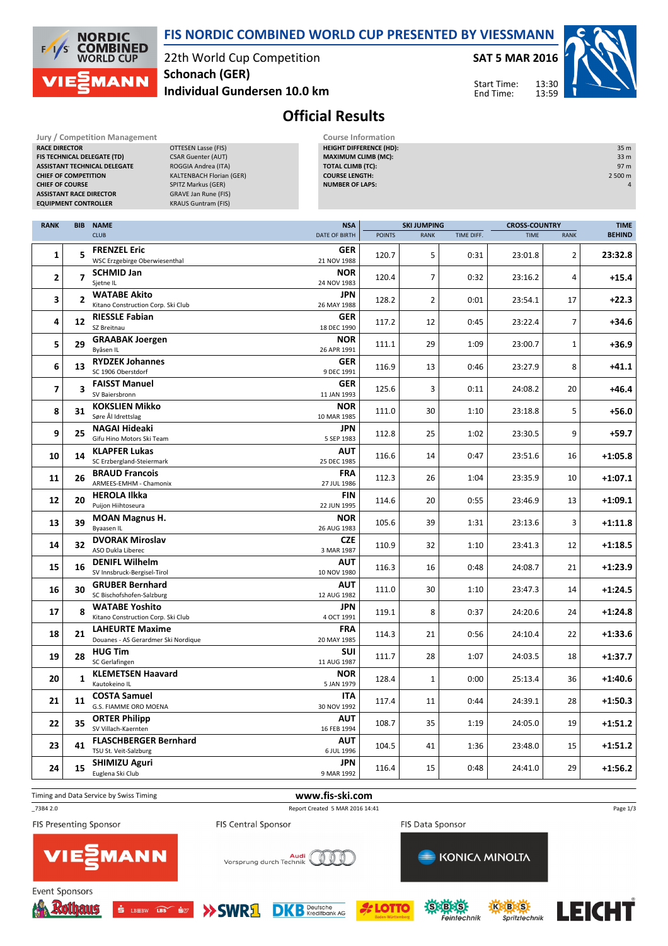22th World Cup Competition **Individual Gundersen 10.0 km Schonach (GER)**

**SAT 5 MAR 2016**

Start Time: End Time:



## **Official Results**

| <b>Jury / Competition Management</b> |
|--------------------------------------|
| <b>RACE DIRECTOR</b>                 |
| <b>FIS TECHNICAL DELEGATE (TD)</b>   |
| <b>ASSISTANT TECHNICAL DELEGATE</b>  |
| <b>CHIEF OF COMPETITION</b>          |
| <b>CHIEF OF COURSE</b>               |
| <b>ASSISTANT RACE DIRECTOR</b>       |
| <b>EQUIPMENT CONTROLLER</b>          |

**NORDIC COMBINED**<br>WORLD CUP

**MANN** 

 $\frac{1}{2}$ /s

> **DTTESEN Lasse (FIS) CSAR Guenter (AUT) ROGGIA Andrea (ITA) KALTENBACH Florian (GER) CHITZ Markus (GER) GRAVE Jan Rune (FIS) KRAUS Guntram (FIS)**

**Course Information HEIGHT DIFFERENCE (HD):** 35 m **MAXIMUM CLIMB (MC):** 33 m **TOTAL CLIMB (TC):** 97 m **COURSE LENGTH:** 2 500 m **NUMBER OF LAPS:** 4

**FIS NORDIC COMBINED WORLD CUP PRESENTED BY VIESSMANN**

| <b>RANK</b>    | <b>BIB</b>              | <b>NAME</b>                                                   | <b>NSA</b>                | <b>SKI JUMPING</b> |                |            |             | <b>CROSS-COUNTRY</b> |               |  |
|----------------|-------------------------|---------------------------------------------------------------|---------------------------|--------------------|----------------|------------|-------------|----------------------|---------------|--|
|                |                         | <b>CLUB</b>                                                   | DATE OF BIRTH             | <b>POINTS</b>      | <b>RANK</b>    | TIME DIFF. | <b>TIME</b> | <b>RANK</b>          | <b>BEHIND</b> |  |
| 1              | 5                       | <b>FRENZEL Eric</b><br>WSC Erzgebirge Oberwiesenthal          | <b>GER</b><br>21 NOV 1988 | 120.7              | 5              | 0:31       | 23:01.8     | $\overline{2}$       | 23:32.8       |  |
| $\overline{2}$ | $\overline{7}$          | <b>SCHMID Jan</b><br>Sjetne IL                                | <b>NOR</b><br>24 NOV 1983 | 120.4              | $\overline{7}$ | 0:32       | 23:16.2     | 4                    | $+15.4$       |  |
| 3              | 2                       | <b>WATABE Akito</b><br>Kitano Construction Corp. Ski Club     | <b>JPN</b><br>26 MAY 1988 | 128.2              | $\overline{2}$ | 0:01       | 23:54.1     | 17                   | +22.3         |  |
| 4              | 12                      | <b>RIESSLE Fabian</b><br>SZ Breitnau                          | <b>GER</b><br>18 DEC 1990 | 117.2              | 12             | 0:45       | 23:22.4     | $\overline{7}$       | +34.6         |  |
| 5              | 29                      | <b>GRAABAK Joergen</b><br>Byåsen IL                           | <b>NOR</b><br>26 APR 1991 | 111.1              | 29             | 1:09       | 23:00.7     | $\mathbf{1}$         | +36.9         |  |
| 6              | 13                      | <b>RYDZEK Johannes</b><br>SC 1906 Oberstdorf                  | <b>GER</b><br>9 DEC 1991  | 116.9              | 13             | 0:46       | 23:27.9     | 8                    | +41.1         |  |
| $\overline{ }$ | $\overline{\mathbf{3}}$ | <b>FAISST Manuel</b><br>SV Baiersbronn                        | <b>GER</b><br>11 JAN 1993 | 125.6              | 3              | 0:11       | 24:08.2     | 20                   | $+46.4$       |  |
| 8              | 31                      | <b>KOKSLIEN Mikko</b><br>Søre Ål Idrettslag                   | NOR<br>10 MAR 1985        | 111.0              | 30             | 1:10       | 23:18.8     | 5                    | +56.0         |  |
| 9              | 25                      | <b>NAGAI Hideaki</b><br>Gifu Hino Motors Ski Team             | <b>JPN</b><br>5 SEP 1983  | 112.8              | 25             | 1:02       | 23:30.5     | 9                    | +59.7         |  |
| 10             | 14                      | <b>KLAPFER Lukas</b><br>SC Erzbergland-Steiermark             | <b>AUT</b><br>25 DEC 1985 | 116.6              | 14             | 0:47       | 23:51.6     | 16                   | +1:05.8       |  |
| 11             | 26                      | <b>BRAUD Francois</b><br>ARMEES-EMHM - Chamonix               | <b>FRA</b><br>27 JUL 1986 | 112.3              | 26             | 1:04       | 23:35.9     | 10                   | +1:07.1       |  |
| 12             | 20                      | <b>HEROLA Ilkka</b><br>Puijon Hiihtoseura                     | <b>FIN</b><br>22 JUN 1995 | 114.6              | 20             | 0:55       | 23:46.9     | 13                   | $+1:09.1$     |  |
| 13             | 39                      | <b>MOAN Magnus H.</b><br>Byaasen IL                           | <b>NOR</b><br>26 AUG 1983 | 105.6              | 39             | 1:31       | 23:13.6     | 3                    | $+1:11.8$     |  |
| 14             | 32                      | <b>DVORAK Miroslav</b><br>ASO Dukla Liberec                   | <b>CZE</b><br>3 MAR 1987  | 110.9              | 32             | 1:10       | 23:41.3     | 12                   | $+1:18.5$     |  |
| 15             | 16                      | <b>DENIFL Wilhelm</b><br>SV Innsbruck-Bergisel-Tirol          | <b>AUT</b><br>10 NOV 1980 | 116.3              | 16             | 0:48       | 24:08.7     | 21                   | +1:23.9       |  |
| 16             | 30                      | <b>GRUBER Bernhard</b><br>SC Bischofshofen-Salzburg           | AUT<br>12 AUG 1982        | 111.0              | 30             | 1:10       | 23:47.3     | 14                   | $+1:24.5$     |  |
| 17             | 8                       | <b>WATABE Yoshito</b><br>Kitano Construction Corp. Ski Club   | <b>JPN</b><br>4 OCT 1991  | 119.1              | 8              | 0:37       | 24:20.6     | 24                   | $+1:24.8$     |  |
| 18             | 21                      | <b>LAHEURTE Maxime</b><br>Douanes - AS Gerardmer Ski Nordique | <b>FRA</b><br>20 MAY 1985 | 114.3              | 21             | 0:56       | 24:10.4     | 22                   | $+1:33.6$     |  |
| 19             | 28                      | <b>HUG Tim</b><br>SC Gerlafingen                              | <b>SUI</b><br>11 AUG 1987 | 111.7              | 28             | 1:07       | 24:03.5     | 18                   | $+1:37.7$     |  |
| 20             | 1                       | <b>KLEMETSEN Haavard</b><br>Kautokeino IL                     | <b>NOR</b><br>5 JAN 1979  | 128.4              | $\mathbf{1}$   | 0:00       | 25:13.4     | 36                   | $+1:40.6$     |  |
| 21             | 11                      | <b>COSTA Samuel</b><br><b>G.S. FIAMME ORO MOENA</b>           | <b>ITA</b><br>30 NOV 1992 | 117.4              | 11             | 0:44       | 24:39.1     | 28                   | $+1:50.3$     |  |
| 22             | 35                      | <b>ORTER Philipp</b><br>SV Villach-Kaernten                   | <b>AUT</b><br>16 FEB 1994 | 108.7              | 35             | 1:19       | 24:05.0     | 19                   | +1:51.2       |  |
| 23             | 41                      | <b>FLASCHBERGER Bernhard</b><br>TSU St. Veit-Salzburg         | <b>AUT</b><br>6 JUL 1996  | 104.5              | 41             | 1:36       | 23:48.0     | 15                   | $+1:51.2$     |  |
| 24             | 15                      | <b>SHIMIZU Aguri</b><br>Euglena Ski Club                      | <b>JPN</b><br>9 MAR 1992  | 116.4              | 15             | 0:48       | 24:41.0     | 29                   | +1:56.2       |  |

Timing and Data Service by Swiss Timing **www.fis-ski.com**

FIS Presenting Sponsor

**Event Sponsors** 

\_73B4 2.0 Report Created 5 MAR 2016 14:41

FIS Central Sponsor

**>>SWR**且

FIS Data Sponsor

Page 1/3

Rothaw



 $\frac{1}{\sqrt{2}}$  LBEBW LBS  $\frac{1}{\sqrt{2}}$ 



**DK B** Deutsche







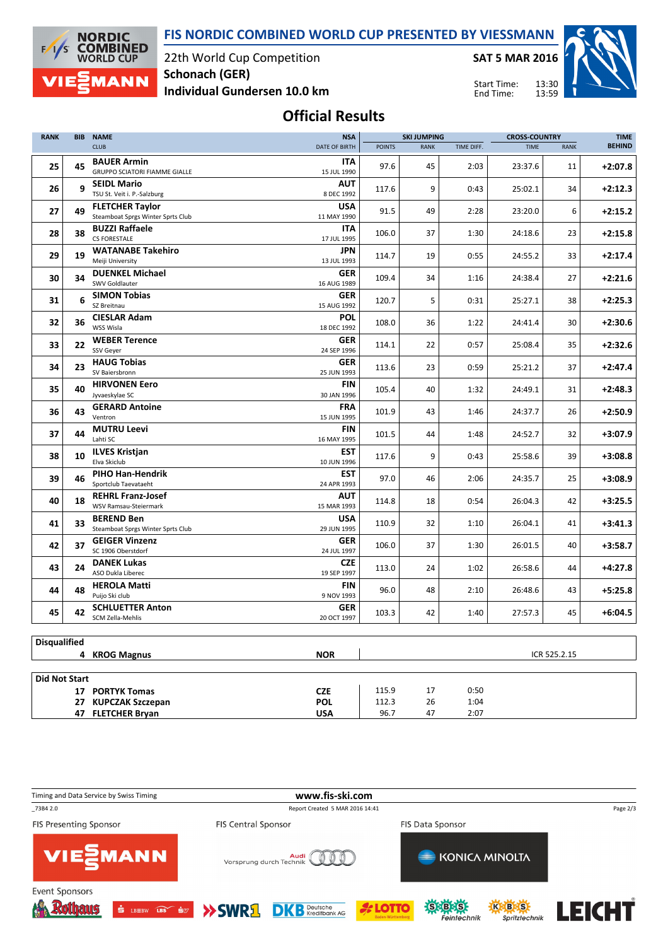**FIS NORDIC COMBINED WORLD CUP PRESENTED BY VIESSMANN**



22th World Cup Competition **Schonach (GER)**

**SAT 5 MAR 2016**

Start Time:

13:30 13:59



**Individual Gundersen 10.0 km**

End Time:

## **Official Results**

| <b>RANK</b><br><b>BIB</b> |    | <b>NAME</b>                                                 |                           | <b>SKI JUMPING</b> |             |            | <b>CROSS-COUNTRY</b> |              | <b>TIME</b>   |
|---------------------------|----|-------------------------------------------------------------|---------------------------|--------------------|-------------|------------|----------------------|--------------|---------------|
|                           |    | <b>CLUB</b>                                                 | DATE OF BIRTH             | <b>POINTS</b>      | <b>RANK</b> | TIME DIFF. | <b>TIME</b>          | <b>RANK</b>  | <b>BEHIND</b> |
| 25                        | 45 | <b>BAUER Armin</b><br><b>GRUPPO SCIATORI FIAMME GIALLE</b>  | <b>ITA</b><br>15 JUL 1990 | 97.6               | 45          | 2:03       | 23:37.6              | 11           | $+2:07.8$     |
| 26                        | 9  | <b>SEIDL Mario</b><br>TSU St. Veit i. P.-Salzburg           | <b>AUT</b><br>8 DEC 1992  | 117.6              | 9           | 0:43       | 25:02.1              | 34           | $+2:12.3$     |
| 27                        | 49 | <b>FLETCHER Taylor</b><br>Steamboat Sprgs Winter Sprts Club | <b>USA</b><br>11 MAY 1990 | 91.5               | 49          | 2:28       | 23:20.0              | 6            | $+2:15.2$     |
| 28                        | 38 | <b>BUZZI Raffaele</b><br><b>CS FORESTALE</b>                | <b>ITA</b><br>17 JUL 1995 | 106.0              | 37          | 1:30       | 24:18.6              | 23           | $+2:15.8$     |
| 29                        | 19 | <b>WATANABE Takehiro</b><br>Meiji University                | <b>JPN</b><br>13 JUL 1993 | 114.7              | 19          | 0:55       | 24:55.2              | 33           | $+2:17.4$     |
| 30                        | 34 | <b>DUENKEL Michael</b><br>SWV Goldlauter                    | <b>GER</b><br>16 AUG 1989 | 109.4              | 34          | 1:16       | 24:38.4              | 27           | $+2:21.6$     |
| 31                        | 6  | <b>SIMON Tobias</b>                                         | <b>GER</b>                | 120.7              | 5           | 0:31       | 25:27.1              | 38           | $+2:25.3$     |
| 32                        | 36 | SZ Breitnau<br><b>CIESLAR Adam</b>                          | 15 AUG 1992<br><b>POL</b> | 108.0              | 36          | 1:22       | 24:41.4              | 30           | $+2:30.6$     |
| 33                        | 22 | WSS Wisla<br><b>WEBER Terence</b>                           | 18 DEC 1992<br><b>GER</b> | 114.1              | 22          | 0:57       | 25:08.4              | 35           | $+2:32.6$     |
| 34                        | 23 | <b>SSV Gever</b><br><b>HAUG Tobias</b>                      | 24 SEP 1996<br><b>GER</b> | 113.6              | 23          | 0:59       | 25:21.2              | 37           | $+2:47.4$     |
| 35                        | 40 | SV Baiersbronn<br><b>HIRVONEN Eero</b>                      | 25 JUN 1993<br><b>FIN</b> | 105.4              | 40          | 1:32       | 24:49.1              | 31           | $+2:48.3$     |
| 36                        | 43 | Jyvaeskylae SC<br><b>GERARD Antoine</b>                     | 30 JAN 1996<br><b>FRA</b> | 101.9              | 43          | 1:46       | 24:37.7              | 26           | $+2:50.9$     |
| 37                        | 44 | Ventron<br><b>MUTRU Leevi</b>                               | 15 JUN 1995<br><b>FIN</b> | 101.5              | 44          | 1:48       | 24:52.7              | 32           | $+3:07.9$     |
|                           |    | Lahti SC                                                    | 16 MAY 1995               |                    |             |            |                      |              |               |
| 38                        | 10 | <b>ILVES Kristjan</b><br>Elva Skiclub                       | <b>EST</b><br>10 JUN 1996 | 117.6              | 9           | 0:43       | 25:58.6              | 39           | $+3:08.8$     |
| 39                        | 46 | PIHO Han-Hendrik<br>Sportclub Taevataeht                    | <b>EST</b><br>24 APR 1993 | 97.0               | 46          | 2:06       | 24:35.7              | 25           | $+3:08.9$     |
| 40                        | 18 | <b>REHRL Franz-Josef</b><br>WSV Ramsau-Steiermark           | <b>AUT</b><br>15 MAR 1993 | 114.8              | 18          | 0:54       | 26:04.3              | 42           | $+3:25.5$     |
| 41                        | 33 | <b>BEREND Ben</b><br>Steamboat Sprgs Winter Sprts Club      | <b>USA</b><br>29 JUN 1995 | 110.9              | 32          | 1:10       | 26:04.1              | 41           | $+3:41.3$     |
| 42                        | 37 | <b>GEIGER Vinzenz</b><br>SC 1906 Oberstdorf                 | <b>GER</b><br>24 JUL 1997 | 106.0              | 37          | 1:30       | 26:01.5              | 40           | $+3:58.7$     |
| 43                        | 24 | <b>DANEK Lukas</b><br>ASO Dukla Liberec                     | <b>CZE</b><br>19 SEP 1997 | 113.0              | 24          | 1:02       | 26:58.6              | 44           | $+4:27.8$     |
| 44                        | 48 | <b>HEROLA Matti</b><br>Puijo Ski club                       | <b>FIN</b><br>9 NOV 1993  | 96.0               | 48          | 2:10       | 26:48.6              | 43           | $+5:25.8$     |
| 45                        | 42 | <b>SCHLUETTER Anton</b><br>SCM Zella-Mehlis                 | <b>GER</b><br>20 OCT 1997 | 103.3              | 42          | 1:40       | 27:57.3              | 45           | $+6:04.5$     |
|                           |    |                                                             |                           |                    |             |            |                      |              |               |
| <b>Disqualified</b>       |    |                                                             |                           |                    |             |            |                      |              |               |
|                           |    | 4 KROG Magnus                                               | <b>NOR</b>                |                    |             |            |                      | ICR 525.2.15 |               |
| <b>Did Not Start</b>      |    |                                                             |                           |                    |             |            |                      |              |               |
|                           |    | 17 PORTYK Tomas                                             | <b>CZE</b>                | 115.9              | 17          | 0:50       |                      |              |               |
|                           |    | 27 KUPCZAK Szczepan                                         | <b>POL</b>                | 112.3              | 26          | 1:04       |                      |              |               |
|                           |    | 47 FLETCHER Bryan                                           | <b>USA</b>                | 96.7               | 47          | 2:07       |                      |              |               |